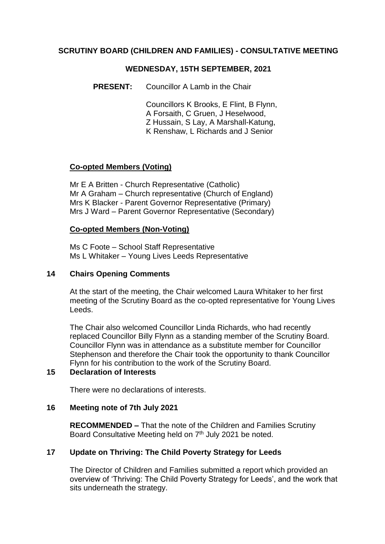### **SCRUTINY BOARD (CHILDREN AND FAMILIES) - CONSULTATIVE MEETING**

#### **WEDNESDAY, 15TH SEPTEMBER, 2021**

**PRESENT:** Councillor A Lamb in the Chair

Councillors K Brooks, E Flint, B Flynn, A Forsaith, C Gruen, J Heselwood, Z Hussain, S Lay, A Marshall-Katung, K Renshaw, L Richards and J Senior

### **Co-opted Members (Voting)**

Mr E A Britten - Church Representative (Catholic) Mr A Graham – Church representative (Church of England) Mrs K Blacker - Parent Governor Representative (Primary) Mrs J Ward – Parent Governor Representative (Secondary)

### **Co-opted Members (Non-Voting)**

Ms C Foote – School Staff Representative Ms L Whitaker – Young Lives Leeds Representative

### **14 Chairs Opening Comments**

At the start of the meeting, the Chair welcomed Laura Whitaker to her first meeting of the Scrutiny Board as the co-opted representative for Young Lives Leeds.

The Chair also welcomed Councillor Linda Richards, who had recently replaced Councillor Billy Flynn as a standing member of the Scrutiny Board. Councillor Flynn was in attendance as a substitute member for Councillor Stephenson and therefore the Chair took the opportunity to thank Councillor Flynn for his contribution to the work of the Scrutiny Board.

### **15 Declaration of Interests**

There were no declarations of interests.

### **16 Meeting note of 7th July 2021**

**RECOMMENDED –** That the note of the Children and Families Scrutiny Board Consultative Meeting held on 7<sup>th</sup> July 2021 be noted.

### **17 Update on Thriving: The Child Poverty Strategy for Leeds**

The Director of Children and Families submitted a report which provided an overview of 'Thriving: The Child Poverty Strategy for Leeds', and the work that sits underneath the strategy.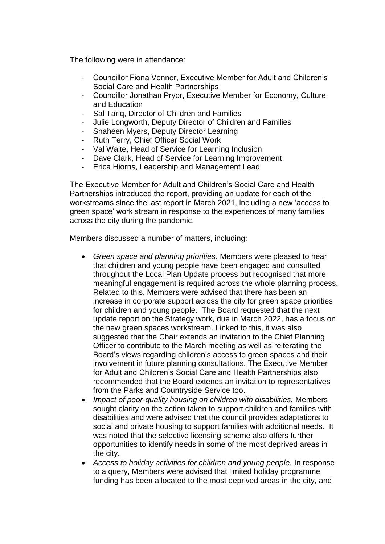The following were in attendance:

- Councillor Fiona Venner, Executive Member for Adult and Children's Social Care and Health Partnerships
- Councillor Jonathan Pryor, Executive Member for Economy, Culture and Education
- Sal Tariq, Director of Children and Families
- Julie Longworth, Deputy Director of Children and Families
- Shaheen Myers, Deputy Director Learning
- Ruth Terry, Chief Officer Social Work
- Val Waite, Head of Service for Learning Inclusion
- Dave Clark, Head of Service for Learning Improvement
- Erica Hiorns, Leadership and Management Lead

The Executive Member for Adult and Children's Social Care and Health Partnerships introduced the report, providing an update for each of the workstreams since the last report in March 2021, including a new 'access to green space' work stream in response to the experiences of many families across the city during the pandemic.

Members discussed a number of matters, including:

- *Green space and planning priorities.* Members were pleased to hear that children and young people have been engaged and consulted throughout the Local Plan Update process but recognised that more meaningful engagement is required across the whole planning process. Related to this, Members were advised that there has been an increase in corporate support across the city for green space priorities for children and young people. The Board requested that the next update report on the Strategy work, due in March 2022, has a focus on the new green spaces workstream. Linked to this, it was also suggested that the Chair extends an invitation to the Chief Planning Officer to contribute to the March meeting as well as reiterating the Board's views regarding children's access to green spaces and their involvement in future planning consultations. The Executive Member for Adult and Children's Social Care and Health Partnerships also recommended that the Board extends an invitation to representatives from the Parks and Countryside Service too.
- *Impact of poor-quality housing on children with disabilities.* Members sought clarity on the action taken to support children and families with disabilities and were advised that the council provides adaptations to social and private housing to support families with additional needs. It was noted that the selective licensing scheme also offers further opportunities to identify needs in some of the most deprived areas in the city.
- *Access to holiday activities for children and young people.* In response to a query, Members were advised that limited holiday programme funding has been allocated to the most deprived areas in the city, and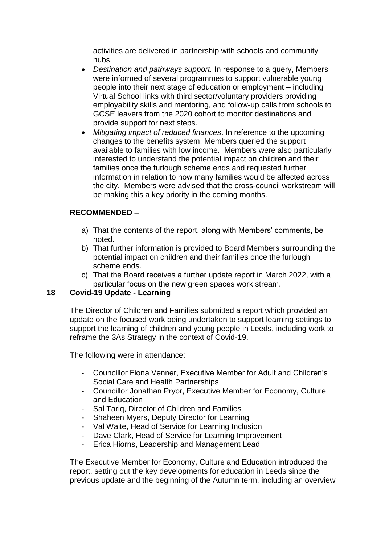activities are delivered in partnership with schools and community hubs.

- *Destination and pathways support.* In response to a query, Members were informed of several programmes to support vulnerable young people into their next stage of education or employment – including Virtual School links with third sector/voluntary providers providing employability skills and mentoring, and follow-up calls from schools to GCSE leavers from the 2020 cohort to monitor destinations and provide support for next steps.
- *Mitigating impact of reduced finances*. In reference to the upcoming changes to the benefits system, Members queried the support available to families with low income. Members were also particularly interested to understand the potential impact on children and their families once the furlough scheme ends and requested further information in relation to how many families would be affected across the city. Members were advised that the cross-council workstream will be making this a key priority in the coming months.

# **RECOMMENDED –**

- a) That the contents of the report, along with Members' comments, be noted.
- b) That further information is provided to Board Members surrounding the potential impact on children and their families once the furlough scheme ends.
- c) That the Board receives a further update report in March 2022, with a particular focus on the new green spaces work stream.

### **18 Covid-19 Update - Learning**

The Director of Children and Families submitted a report which provided an update on the focused work being undertaken to support learning settings to support the learning of children and young people in Leeds, including work to reframe the 3As Strategy in the context of Covid-19.

The following were in attendance:

- Councillor Fiona Venner, Executive Member for Adult and Children's Social Care and Health Partnerships
- Councillor Jonathan Pryor, Executive Member for Economy, Culture and Education
- Sal Tariq, Director of Children and Families
- Shaheen Myers, Deputy Director for Learning
- Val Waite, Head of Service for Learning Inclusion
- Dave Clark, Head of Service for Learning Improvement
- Erica Hiorns, Leadership and Management Lead

The Executive Member for Economy, Culture and Education introduced the report, setting out the key developments for education in Leeds since the previous update and the beginning of the Autumn term, including an overview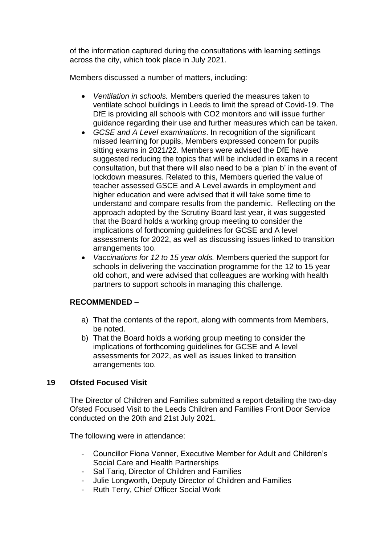of the information captured during the consultations with learning settings across the city, which took place in July 2021.

Members discussed a number of matters, including:

- *Ventilation in schools.* Members queried the measures taken to ventilate school buildings in Leeds to limit the spread of Covid-19. The DfE is providing all schools with CO2 monitors and will issue further guidance regarding their use and further measures which can be taken.
- *GCSE and A Level examinations*. In recognition of the significant missed learning for pupils, Members expressed concern for pupils sitting exams in 2021/22. Members were advised the DfE have suggested reducing the topics that will be included in exams in a recent consultation, but that there will also need to be a 'plan b' in the event of lockdown measures. Related to this, Members queried the value of teacher assessed GSCE and A Level awards in employment and higher education and were advised that it will take some time to understand and compare results from the pandemic. Reflecting on the approach adopted by the Scrutiny Board last year, it was suggested that the Board holds a working group meeting to consider the implications of forthcoming guidelines for GCSE and A level assessments for 2022, as well as discussing issues linked to transition arrangements too.
- *Vaccinations for 12 to 15 year olds.* Members queried the support for schools in delivering the vaccination programme for the 12 to 15 year old cohort, and were advised that colleagues are working with health partners to support schools in managing this challenge.

# **RECOMMENDED –**

- a) That the contents of the report, along with comments from Members, be noted.
- b) That the Board holds a working group meeting to consider the implications of forthcoming guidelines for GCSE and A level assessments for 2022, as well as issues linked to transition arrangements too.

# **19 Ofsted Focused Visit**

The Director of Children and Families submitted a report detailing the two-day Ofsted Focused Visit to the Leeds Children and Families Front Door Service conducted on the 20th and 21st July 2021.

The following were in attendance:

- Councillor Fiona Venner, Executive Member for Adult and Children's Social Care and Health Partnerships
- Sal Tariq, Director of Children and Families
- Julie Longworth, Deputy Director of Children and Families
- Ruth Terry, Chief Officer Social Work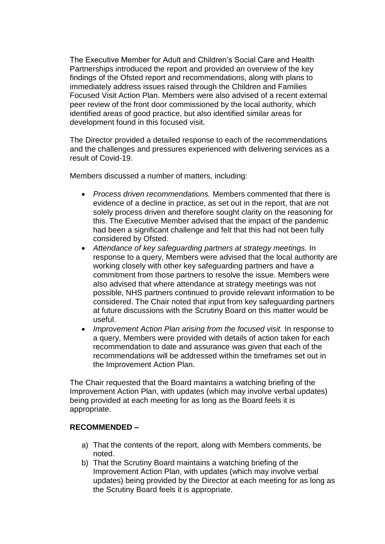The Executive Member for Adult and Children's Social Care and Health Partnerships introduced the report and provided an overview of the key findings of the Ofsted report and recommendations, along with plans to immediately address issues raised through the Children and Families Focused Visit Action Plan. Members were also advised of a recent external peer review of the front door commissioned by the local authority, which identified areas of good practice, but also identified similar areas for development found in this focused visit.

The Director provided a detailed response to each of the recommendations and the challenges and pressures experienced with delivering services as a result of Covid-19.

Members discussed a number of matters, including:

- *Process driven recommendations.* Members commented that there is evidence of a decline in practice, as set out in the report, that are not solely process driven and therefore sought clarity on the reasoning for this. The Executive Member advised that the impact of the pandemic had been a significant challenge and felt that this had not been fully considered by Ofsted.
- *Attendance of key safeguarding partners at strategy meetings.* In response to a query, Members were advised that the local authority are working closely with other key safeguarding partners and have a commitment from those partners to resolve the issue. Members were also advised that where attendance at strategy meetings was not possible, NHS partners continued to provide relevant information to be considered. The Chair noted that input from key safeguarding partners at future discussions with the Scrutiny Board on this matter would be useful.
- *Improvement Action Plan arising from the focused visit.* In response to a query, Members were provided with details of action taken for each recommendation to date and assurance was given that each of the recommendations will be addressed within the timeframes set out in the Improvement Action Plan.

The Chair requested that the Board maintains a watching briefing of the Improvement Action Plan, with updates (which may involve verbal updates) being provided at each meeting for as long as the Board feels it is appropriate.

### **RECOMMENDED –**

- a) That the contents of the report, along with Members comments, be noted.
- b) That the Scrutiny Board maintains a watching briefing of the Improvement Action Plan, with updates (which may involve verbal updates) being provided by the Director at each meeting for as long as the Scrutiny Board feels it is appropriate.